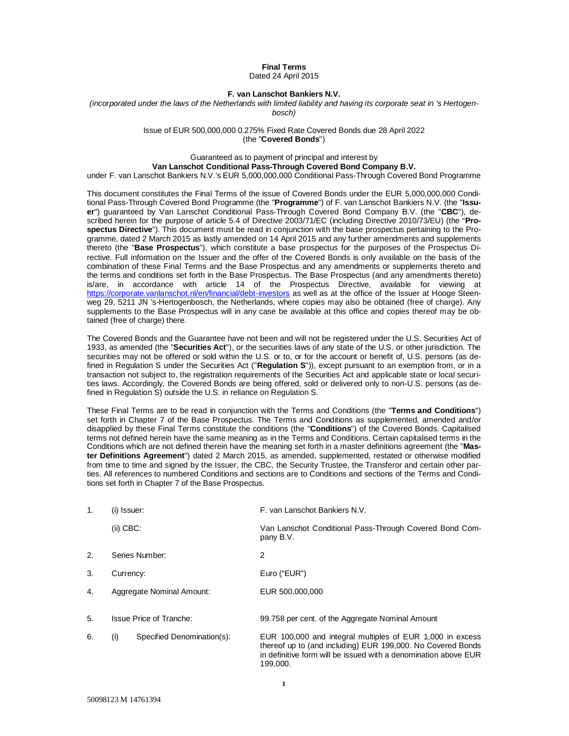**Final Terms** Dated 24 April 2015

### **F. van Lanschot Bankiers N.V.**

*(incorporated under the laws of the Netherlands with limited liability and having its corporate seat in 's Hertogenbosch)*

> Issue of EUR 500,000,000 0.275% Fixed Rate Covered Bonds due 28 April 2022 (the "**Covered Bonds**")

## Guaranteed as to payment of principal and interest by

**Van Lanschot Conditional Pass-Through Covered Bond Company B.V.**

under F. van Lanschot Bankiers N.V.'s EUR 5,000,000,000 Conditional Pass-Through Covered Bond Programme

This document constitutes the Final Terms of the issue of Covered Bonds under the EUR 5,000,000,000 Conditional Pass-Through Covered Bond Programme (the "**Programme**") of F. van Lanschot Bankiers N.V. (the "**Issuer**") guaranteed by Van Lanschot Conditional Pass-Through Covered Bond Company B.V. (the "**CBC**"), described herein for the purpose of article 5.4 of Directive 2003/71/EC (including Directive 2010/73/EU) (the "**Prospectus Directive**"). This document must be read in conjunction with the base prospectus pertaining to the Programme, dated 2 March 2015 as lastly amended on 14 April 2015 and any further amendments and supplements thereto (the "**Base Prospectus**"), which constitute a base prospectus for the purposes of the Prospectus Directive. Full information on the Issuer and the offer of the Covered Bonds is only available on the basis of the combination of these Final Terms and the Base Prospectus and any amendments or supplements thereto and the terms and conditions set forth in the Base Prospectus. The Base Prospectus (and any amendments thereto) is/are, in accordance with article 14 of the Prospectus Directive, available for viewing at https://corporate.vanlanschot.nl/en/financial/debt-investors as well as at the office of the Issuer at Hooge Steenweg 29, 5211 JN 's-Hertogenbosch, the Netherlands, where copies may also be obtained (free of charge). Any supplements to the Base Prospectus will in any case be available at this office and copies thereof may be obtained (free of charge) there.

The Covered Bonds and the Guarantee have not been and will not be registered under the U.S. Securities Act of 1933, as amended (the "**Securities Act**"), or the securities laws of any state of the U.S. or other jurisdiction. The securities may not be offered or sold within the U.S. or to, or for the account or benefit of, U.S. persons (as defined in Regulation S under the Securities Act ("**Regulation S**")), except pursuant to an exemption from, or in a transaction not subject to, the registration requirements of the Securities Act and applicable state or local securities laws. Accordingly, the Covered Bonds are being offered, sold or delivered only to non-U.S. persons (as defined in Regulation S) outside the U.S. in reliance on Regulation S.

These Final Terms are to be read in conjunction with the Terms and Conditions (the "**Terms and Conditions**") set forth in Chapter 7 of the Base Prospectus. The Terms and Conditions as supplemented, amended and/or disapplied by these Final Terms constitute the conditions (the "**Conditions**") of the Covered Bonds. Capitalised terms not defined herein have the same meaning as in the Terms and Conditions. Certain capitalised terms in the Conditions which are not defined therein have the meaning set forth in a master definitions agreement (the "**Master Definitions Agreement**") dated 2 March 2015, as amended, supplemented, restated or otherwise modified from time to time and signed by the Issuer, the CBC, the Security Trustee, the Transferor and certain other parties. All references to numbered Conditions and sections are to Conditions and sections of the Terms and Conditions set forth in Chapter 7 of the Base Prospectus.

| 1. | (i) Issuer: |                                | F. van Lanschot Bankiers N.V.                                                                                                                                                                           |
|----|-------------|--------------------------------|---------------------------------------------------------------------------------------------------------------------------------------------------------------------------------------------------------|
|    | $(ii)$ CBC: |                                | Van Lanschot Conditional Pass-Through Covered Bond Com-<br>pany B.V.                                                                                                                                    |
| 2. |             | Series Number:                 | 2                                                                                                                                                                                                       |
| 3. | Currency:   |                                | Euro ("EUR")                                                                                                                                                                                            |
| 4. |             | Aggregate Nominal Amount:      | EUR 500,000,000                                                                                                                                                                                         |
| 5. |             | <b>Issue Price of Tranche:</b> | 99.758 per cent. of the Aggregate Nominal Amount                                                                                                                                                        |
| 6. | (i)         | Specified Denomination(s):     | EUR 100,000 and integral multiples of EUR 1,000 in excess<br>thereof up to (and including) EUR 199,000. No Covered Bonds<br>in definitive form will be issued with a denomination above EUR<br>199.000. |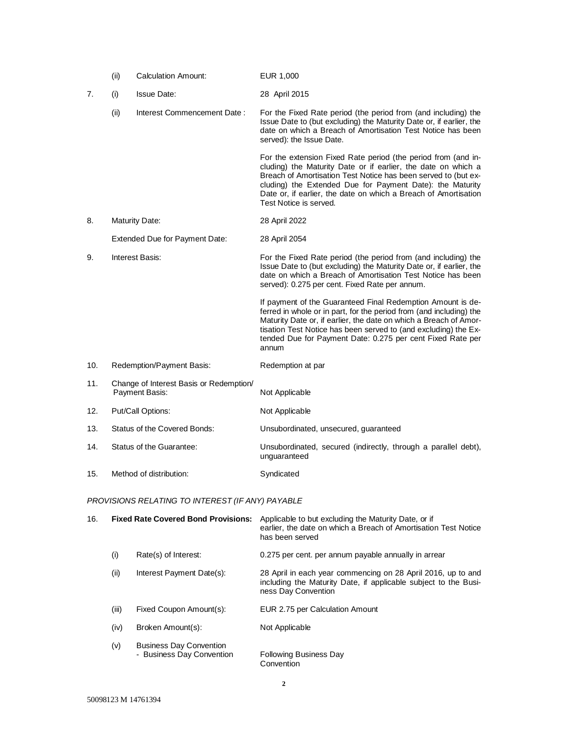|                             | (ii)                     | <b>Calculation Amount:</b>                                       | EUR 1,000                                                                                                                                                                                                                                                                                                                                                  |
|-----------------------------|--------------------------|------------------------------------------------------------------|------------------------------------------------------------------------------------------------------------------------------------------------------------------------------------------------------------------------------------------------------------------------------------------------------------------------------------------------------------|
| 7.                          | (i)                      | <b>Issue Date:</b>                                               | 28 April 2015                                                                                                                                                                                                                                                                                                                                              |
|                             | (ii)                     | Interest Commencement Date:                                      | For the Fixed Rate period (the period from (and including) the<br>Issue Date to (but excluding) the Maturity Date or, if earlier, the<br>date on which a Breach of Amortisation Test Notice has been<br>served): the Issue Date.                                                                                                                           |
|                             |                          |                                                                  | For the extension Fixed Rate period (the period from (and in-<br>cluding) the Maturity Date or if earlier, the date on which a<br>Breach of Amortisation Test Notice has been served to (but ex-<br>cluding) the Extended Due for Payment Date): the Maturity<br>Date or, if earlier, the date on which a Breach of Amortisation<br>Test Notice is served. |
| 8.<br><b>Maturity Date:</b> |                          |                                                                  | 28 April 2022                                                                                                                                                                                                                                                                                                                                              |
|                             |                          | <b>Extended Due for Payment Date:</b>                            | 28 April 2054                                                                                                                                                                                                                                                                                                                                              |
| 9.                          | Interest Basis:          |                                                                  | For the Fixed Rate period (the period from (and including) the<br>Issue Date to (but excluding) the Maturity Date or, if earlier, the<br>date on which a Breach of Amortisation Test Notice has been<br>served): 0.275 per cent. Fixed Rate per annum.                                                                                                     |
|                             |                          |                                                                  | If payment of the Guaranteed Final Redemption Amount is de-<br>ferred in whole or in part, for the period from (and including) the<br>Maturity Date or, if earlier, the date on which a Breach of Amor-<br>tisation Test Notice has been served to (and excluding) the Ex-<br>tended Due for Payment Date: 0.275 per cent Fixed Rate per<br>annum          |
| 10.                         |                          | Redemption/Payment Basis:                                        | Redemption at par                                                                                                                                                                                                                                                                                                                                          |
| 11.                         |                          | Change of Interest Basis or Redemption/<br><b>Payment Basis:</b> | Not Applicable                                                                                                                                                                                                                                                                                                                                             |
| 12.                         |                          | Put/Call Options:                                                | Not Applicable                                                                                                                                                                                                                                                                                                                                             |
| 13.                         |                          | Status of the Covered Bonds:                                     | Unsubordinated, unsecured, guaranteed                                                                                                                                                                                                                                                                                                                      |
| 14.                         | Status of the Guarantee: |                                                                  | Unsubordinated, secured (indirectly, through a parallel debt),<br>unguaranteed                                                                                                                                                                                                                                                                             |
| 15.                         | Method of distribution:  |                                                                  | Syndicated                                                                                                                                                                                                                                                                                                                                                 |

# *PROVISIONS RELATING TO INTEREST (IF ANY) PAYABLE*

| 16. | <b>Fixed Rate Covered Bond Provisions:</b> |                                                             | Applicable to but excluding the Maturity Date, or if<br>earlier, the date on which a Breach of Amortisation Test Notice<br>has been served             |
|-----|--------------------------------------------|-------------------------------------------------------------|--------------------------------------------------------------------------------------------------------------------------------------------------------|
|     | (i)                                        | Rate(s) of Interest:                                        | 0.275 per cent. per annum payable annually in arrear                                                                                                   |
|     | (ii)                                       | Interest Payment Date(s):                                   | 28 April in each year commencing on 28 April 2016, up to and<br>including the Maturity Date, if applicable subject to the Busi-<br>ness Day Convention |
|     | (iii)                                      | Fixed Coupon Amount(s):                                     | EUR 2.75 per Calculation Amount                                                                                                                        |
|     | (iv)                                       | Broken Amount(s):                                           | Not Applicable                                                                                                                                         |
|     | (v)                                        | <b>Business Day Convention</b><br>- Business Day Convention | <b>Following Business Day</b><br>Convention                                                                                                            |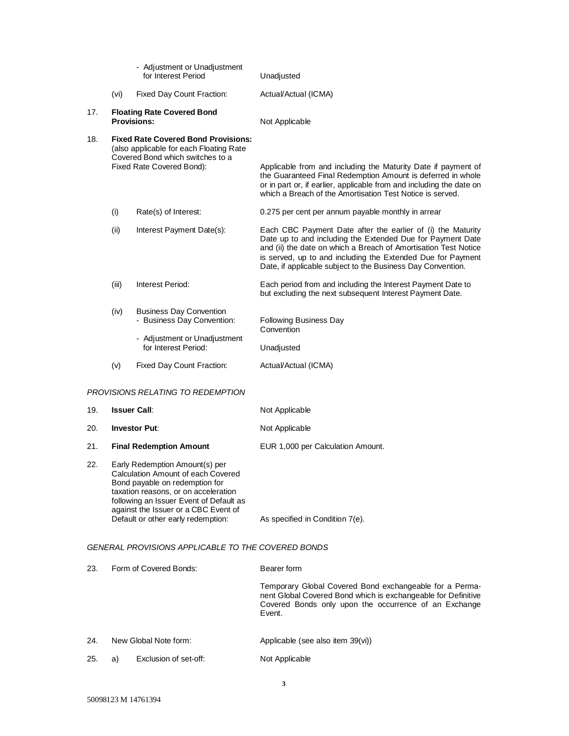|                                      |                                                                                                                                                        | - Adjustment or Unadjustment<br>for Interest Period                                                                  | Unadjusted                                                                                                                                                                                                                                                                                                                 |
|--------------------------------------|--------------------------------------------------------------------------------------------------------------------------------------------------------|----------------------------------------------------------------------------------------------------------------------|----------------------------------------------------------------------------------------------------------------------------------------------------------------------------------------------------------------------------------------------------------------------------------------------------------------------------|
|                                      | (vi)                                                                                                                                                   | <b>Fixed Day Count Fraction:</b>                                                                                     | Actual/Actual (ICMA)                                                                                                                                                                                                                                                                                                       |
| 17.                                  |                                                                                                                                                        | <b>Floating Rate Covered Bond</b><br><b>Provisions:</b>                                                              | Not Applicable                                                                                                                                                                                                                                                                                                             |
| 18.                                  | <b>Fixed Rate Covered Bond Provisions:</b><br>(also applicable for each Floating Rate<br>Covered Bond which switches to a<br>Fixed Rate Covered Bond): |                                                                                                                      | Applicable from and including the Maturity Date if payment of<br>the Guaranteed Final Redemption Amount is deferred in whole<br>or in part or, if earlier, applicable from and including the date on<br>which a Breach of the Amortisation Test Notice is served.                                                          |
|                                      | (i)                                                                                                                                                    | Rate(s) of Interest:                                                                                                 | 0.275 per cent per annum payable monthly in arrear                                                                                                                                                                                                                                                                         |
|                                      | (ii)                                                                                                                                                   | Interest Payment Date(s):                                                                                            | Each CBC Payment Date after the earlier of (i) the Maturity<br>Date up to and including the Extended Due for Payment Date<br>and (ii) the date on which a Breach of Amortisation Test Notice<br>is served, up to and including the Extended Due for Payment<br>Date, if applicable subject to the Business Day Convention. |
|                                      | (iii)                                                                                                                                                  | Interest Period:                                                                                                     | Each period from and including the Interest Payment Date to<br>but excluding the next subsequent Interest Payment Date.                                                                                                                                                                                                    |
|                                      | (iv)                                                                                                                                                   | <b>Business Day Convention</b><br>- Business Day Convention:<br>- Adjustment or Unadjustment<br>for Interest Period: | <b>Following Business Day</b><br>Convention<br>Unadjusted                                                                                                                                                                                                                                                                  |
|                                      | (v)                                                                                                                                                    | Fixed Day Count Fraction:                                                                                            | Actual/Actual (ICMA)                                                                                                                                                                                                                                                                                                       |
| PROVISIONS RELATING TO REDEMPTION    |                                                                                                                                                        |                                                                                                                      |                                                                                                                                                                                                                                                                                                                            |
| 19.                                  | <b>Issuer Call:</b>                                                                                                                                    |                                                                                                                      | Not Applicable                                                                                                                                                                                                                                                                                                             |
| 20.                                  | <b>Investor Put:</b>                                                                                                                                   |                                                                                                                      | Not Applicable                                                                                                                                                                                                                                                                                                             |
| 21.                                  | <b>Final Redemption Amount</b>                                                                                                                         |                                                                                                                      | EUR 1,000 per Calculation Amount.                                                                                                                                                                                                                                                                                          |
| つつ<br>Farly Redemntion Amount(s) ner |                                                                                                                                                        |                                                                                                                      |                                                                                                                                                                                                                                                                                                                            |

22. Early Redemption Amount(s) per Calculation Amount of each Covered Bond payable on redemption for taxation reasons, or on acceleration following an Issuer Event of Default as against the Issuer or a CBC Event of Default or other early redemption: As specified in Condition 7(e).

*GENERAL PROVISIONS APPLICABLE TO THE COVERED BONDS*

| 23. | Form of Covered Bonds: |                       | Bearer form                                                                                                                                                                                 |
|-----|------------------------|-----------------------|---------------------------------------------------------------------------------------------------------------------------------------------------------------------------------------------|
|     |                        |                       | Temporary Global Covered Bond exchangeable for a Perma-<br>nent Global Covered Bond which is exchangeable for Definitive<br>Covered Bonds only upon the occurrence of an Exchange<br>Event. |
| 24. | New Global Note form:  |                       | Applicable (see also item 39(vi))                                                                                                                                                           |
| 25. | a)                     | Exclusion of set-off: | Not Applicable                                                                                                                                                                              |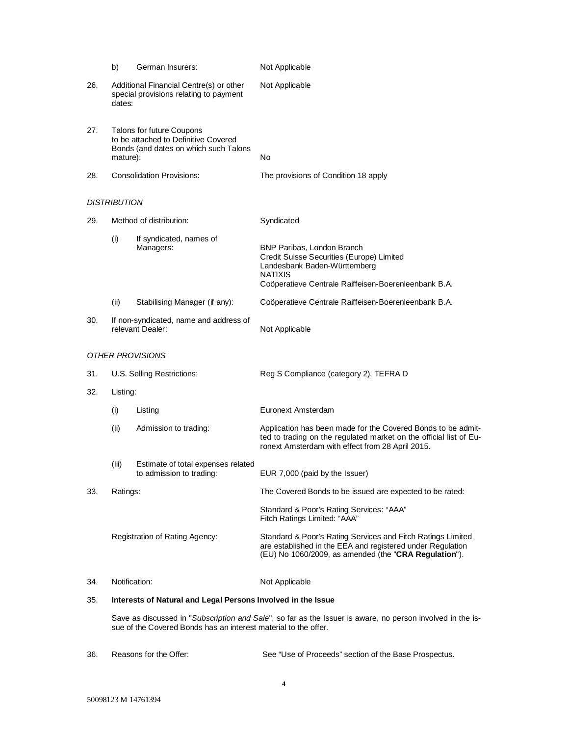|     | b)                                                                                                                     | German Insurers:                                                                  | Not Applicable                                                                                                                                                                           |  |
|-----|------------------------------------------------------------------------------------------------------------------------|-----------------------------------------------------------------------------------|------------------------------------------------------------------------------------------------------------------------------------------------------------------------------------------|--|
| 26. | dates:                                                                                                                 | Additional Financial Centre(s) or other<br>special provisions relating to payment | Not Applicable                                                                                                                                                                           |  |
| 27. | Talons for future Coupons<br>to be attached to Definitive Covered<br>Bonds (and dates on which such Talons<br>mature): |                                                                                   | No                                                                                                                                                                                       |  |
| 28. |                                                                                                                        | <b>Consolidation Provisions:</b>                                                  | The provisions of Condition 18 apply                                                                                                                                                     |  |
|     | DISTRIBUTION                                                                                                           |                                                                                   |                                                                                                                                                                                          |  |
| 29. |                                                                                                                        | Method of distribution:                                                           | Syndicated                                                                                                                                                                               |  |
|     | (i)                                                                                                                    | If syndicated, names of<br>Managers:                                              | <b>BNP Paribas, London Branch</b><br>Credit Suisse Securities (Europe) Limited<br>Landesbank Baden-Württemberg<br><b>NATIXIS</b><br>Coöperatieve Centrale Raiffeisen-Boerenleenbank B.A. |  |
|     | (ii)                                                                                                                   | Stabilising Manager (if any):                                                     | Coöperatieve Centrale Raiffeisen-Boerenleenbank B.A.                                                                                                                                     |  |
| 30. |                                                                                                                        | If non-syndicated, name and address of<br>relevant Dealer:                        | Not Applicable                                                                                                                                                                           |  |
|     |                                                                                                                        | <i>OTHER PROVISIONS</i>                                                           |                                                                                                                                                                                          |  |
| 31. | U.S. Selling Restrictions:                                                                                             |                                                                                   | Reg S Compliance (category 2), TEFRA D                                                                                                                                                   |  |
| 32. | Listing:                                                                                                               |                                                                                   |                                                                                                                                                                                          |  |
|     | (i)                                                                                                                    | Listing                                                                           | Euronext Amsterdam                                                                                                                                                                       |  |
|     | (ii)                                                                                                                   | Admission to trading:                                                             | Application has been made for the Covered Bonds to be admit-<br>ted to trading on the regulated market on the official list of Eu-<br>ronext Amsterdam with effect from 28 April 2015.   |  |
|     | (iii)                                                                                                                  | Estimate of total expenses related<br>to admission to trading:                    | EUR 7,000 (paid by the Issuer)                                                                                                                                                           |  |
| 33. | Ratings:                                                                                                               |                                                                                   | The Covered Bonds to be issued are expected to be rated:                                                                                                                                 |  |
|     |                                                                                                                        |                                                                                   | Standard & Poor's Rating Services: "AAA"<br>Fitch Ratings Limited: "AAA"                                                                                                                 |  |
|     | Registration of Rating Agency:                                                                                         |                                                                                   | Standard & Poor's Rating Services and Fitch Ratings Limited<br>are established in the EEA and registered under Regulation<br>(EU) No 1060/2009, as amended (the "CRA Regulation").       |  |
| 34. | Notification:                                                                                                          |                                                                                   | Not Applicable                                                                                                                                                                           |  |
| 35. | Interests of Natural and Legal Persons Involved in the Issue                                                           |                                                                                   |                                                                                                                                                                                          |  |
|     | Save as discussed in "Subscription and Sale", so far as the Issuer is aware, no person involved in the is-             |                                                                                   |                                                                                                                                                                                          |  |

36. Reasons for the Offer: See "Use of Proceeds" section of the Base Prospectus.

sue of the Covered Bonds has an interest material to the offer.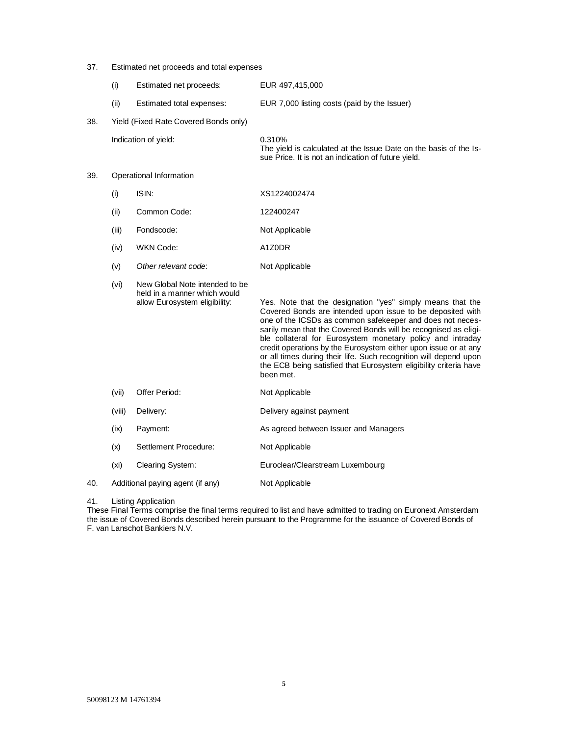# 37. Estimated net proceeds and total expenses

|     | (i)    | Estimated net proceeds:                                                                         | EUR 497,415,000                                                                                                                                                                                                                                                                                                                                                                                                                                                                                                                                  |
|-----|--------|-------------------------------------------------------------------------------------------------|--------------------------------------------------------------------------------------------------------------------------------------------------------------------------------------------------------------------------------------------------------------------------------------------------------------------------------------------------------------------------------------------------------------------------------------------------------------------------------------------------------------------------------------------------|
|     | (ii)   | Estimated total expenses:                                                                       | EUR 7,000 listing costs (paid by the Issuer)                                                                                                                                                                                                                                                                                                                                                                                                                                                                                                     |
| 38. |        | Yield (Fixed Rate Covered Bonds only)                                                           |                                                                                                                                                                                                                                                                                                                                                                                                                                                                                                                                                  |
|     |        | Indication of yield:                                                                            | 0.310%<br>The yield is calculated at the Issue Date on the basis of the Is-<br>sue Price. It is not an indication of future yield.                                                                                                                                                                                                                                                                                                                                                                                                               |
| 39. |        | Operational Information                                                                         |                                                                                                                                                                                                                                                                                                                                                                                                                                                                                                                                                  |
|     | (i)    | ISIN:                                                                                           | XS1224002474                                                                                                                                                                                                                                                                                                                                                                                                                                                                                                                                     |
|     | (ii)   | Common Code:                                                                                    | 122400247                                                                                                                                                                                                                                                                                                                                                                                                                                                                                                                                        |
|     | (iii)  | Fondscode:                                                                                      | Not Applicable                                                                                                                                                                                                                                                                                                                                                                                                                                                                                                                                   |
|     | (iv)   | WKN Code:                                                                                       | A1Z0DR                                                                                                                                                                                                                                                                                                                                                                                                                                                                                                                                           |
|     | (v)    | Other relevant code:                                                                            | Not Applicable                                                                                                                                                                                                                                                                                                                                                                                                                                                                                                                                   |
|     | (vi)   | New Global Note intended to be<br>held in a manner which would<br>allow Eurosystem eligibility: | Yes. Note that the designation "yes" simply means that the<br>Covered Bonds are intended upon issue to be deposited with<br>one of the ICSDs as common safekeeper and does not neces-<br>sarily mean that the Covered Bonds will be recognised as eligi-<br>ble collateral for Eurosystem monetary policy and intraday<br>credit operations by the Eurosystem either upon issue or at any<br>or all times during their life. Such recognition will depend upon<br>the ECB being satisfied that Eurosystem eligibility criteria have<br>been met. |
|     | (vii)  | Offer Period:                                                                                   | Not Applicable                                                                                                                                                                                                                                                                                                                                                                                                                                                                                                                                   |
|     | (viii) | Delivery:                                                                                       | Delivery against payment                                                                                                                                                                                                                                                                                                                                                                                                                                                                                                                         |
|     | (ix)   | Payment:                                                                                        | As agreed between Issuer and Managers                                                                                                                                                                                                                                                                                                                                                                                                                                                                                                            |
|     | (x)    | Settlement Procedure:                                                                           | Not Applicable                                                                                                                                                                                                                                                                                                                                                                                                                                                                                                                                   |
|     | (xi)   | Clearing System:                                                                                | Euroclear/Clearstream Luxembourg                                                                                                                                                                                                                                                                                                                                                                                                                                                                                                                 |
| 40. |        | Additional paying agent (if any)                                                                | Not Applicable                                                                                                                                                                                                                                                                                                                                                                                                                                                                                                                                   |
|     |        |                                                                                                 |                                                                                                                                                                                                                                                                                                                                                                                                                                                                                                                                                  |

### 41. Listing Application

These Final Terms comprise the final terms required to list and have admitted to trading on Euronext Amsterdam the issue of Covered Bonds described herein pursuant to the Programme for the issuance of Covered Bonds of F. van Lanschot Bankiers N.V.